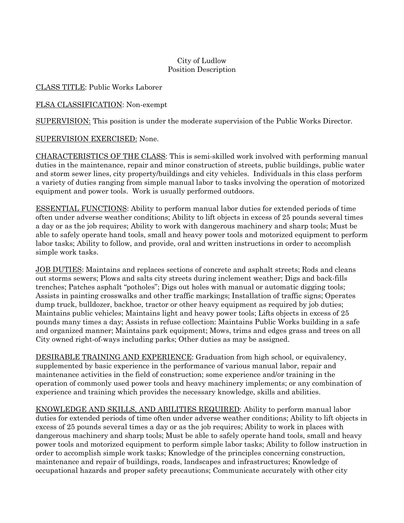## City of Ludlow Position Description

## CLASS TITLE: Public Works Laborer

FLSA CLASSIFICATION: Non-exempt

SUPERVISION: This position is under the moderate supervision of the Public Works Director.

## SUPERVISION EXERCISED: None.

CHARACTERISTICS OF THE CLASS: This is semi-skilled work involved with performing manual duties in the maintenance, repair and minor construction of streets, public buildings, public water and storm sewer lines, city property/buildings and city vehicles. Individuals in this class perform a variety of duties ranging from simple manual labor to tasks involving the operation of motorized equipment and power tools. Work is usually performed outdoors.

ESSENTIAL FUNCTIONS: Ability to perform manual labor duties for extended periods of time often under adverse weather conditions; Ability to lift objects in excess of 25 pounds several times a day or as the job requires; Ability to work with dangerous machinery and sharp tools; Must be able to safely operate hand tools, small and heavy power tools and motorized equipment to perform labor tasks; Ability to follow, and provide, oral and written instructions in order to accomplish simple work tasks.

JOB DUTIES: Maintains and replaces sections of concrete and asphalt streets; Rods and cleans out storms sewers; Plows and salts city streets during inclement weather; Digs and back-fills trenches; Patches asphalt "potholes"; Digs out holes with manual or automatic digging tools; Assists in painting crosswalks and other traffic markings; Installation of traffic signs; Operates dump truck, bulldozer, backhoe, tractor or other heavy equipment as required by job duties; Maintains public vehicles; Maintains light and heavy power tools; Lifts objects in excess of 25 pounds many times a day; Assists in refuse collection: Maintains Public Works building in a safe and organized manner; Maintains park equipment; Mows, trims and edges grass and trees on all City owned right-of-ways including parks; Other duties as may be assigned.

DESIRABLE TRAINING AND EXPERIENCE: Graduation from high school, or equivalency, supplemented by basic experience in the performance of various manual labor, repair and maintenance activities in the field of construction; some experience and/or training in the operation of commonly used power tools and heavy machinery implements; or any combination of experience and training which provides the necessary knowledge, skills and abilities.

KNOWLEDGE AND SKILLS, AND ABILITIES REQUIRED: Ability to perform manual labor duties for extended periods of time often under adverse weather conditions; Ability to lift objects in excess of 25 pounds several times a day or as the job requires; Ability to work in places with dangerous machinery and sharp tools; Must be able to safely operate hand tools, small and heavy power tools and motorized equipment to perform simple labor tasks; Ability to follow instruction in order to accomplish simple work tasks; Knowledge of the principles concerning construction, maintenance and repair of buildings, roads, landscapes and infrastructures; Knowledge of occupational hazards and proper safety precautions; Communicate accurately with other city